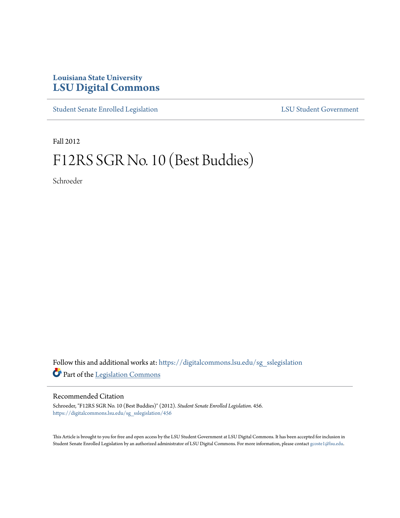## **Louisiana State University [LSU Digital Commons](https://digitalcommons.lsu.edu?utm_source=digitalcommons.lsu.edu%2Fsg_sslegislation%2F456&utm_medium=PDF&utm_campaign=PDFCoverPages)**

[Student Senate Enrolled Legislation](https://digitalcommons.lsu.edu/sg_sslegislation?utm_source=digitalcommons.lsu.edu%2Fsg_sslegislation%2F456&utm_medium=PDF&utm_campaign=PDFCoverPages) [LSU Student Government](https://digitalcommons.lsu.edu/sg?utm_source=digitalcommons.lsu.edu%2Fsg_sslegislation%2F456&utm_medium=PDF&utm_campaign=PDFCoverPages)

Fall 2012

## F12RS SGR No. 10 (Best Buddies)

Schroeder

Follow this and additional works at: [https://digitalcommons.lsu.edu/sg\\_sslegislation](https://digitalcommons.lsu.edu/sg_sslegislation?utm_source=digitalcommons.lsu.edu%2Fsg_sslegislation%2F456&utm_medium=PDF&utm_campaign=PDFCoverPages) Part of the [Legislation Commons](http://network.bepress.com/hgg/discipline/859?utm_source=digitalcommons.lsu.edu%2Fsg_sslegislation%2F456&utm_medium=PDF&utm_campaign=PDFCoverPages)

## Recommended Citation

Schroeder, "F12RS SGR No. 10 (Best Buddies)" (2012). *Student Senate Enrolled Legislation*. 456. [https://digitalcommons.lsu.edu/sg\\_sslegislation/456](https://digitalcommons.lsu.edu/sg_sslegislation/456?utm_source=digitalcommons.lsu.edu%2Fsg_sslegislation%2F456&utm_medium=PDF&utm_campaign=PDFCoverPages)

This Article is brought to you for free and open access by the LSU Student Government at LSU Digital Commons. It has been accepted for inclusion in Student Senate Enrolled Legislation by an authorized administrator of LSU Digital Commons. For more information, please contact [gcoste1@lsu.edu.](mailto:gcoste1@lsu.edu)